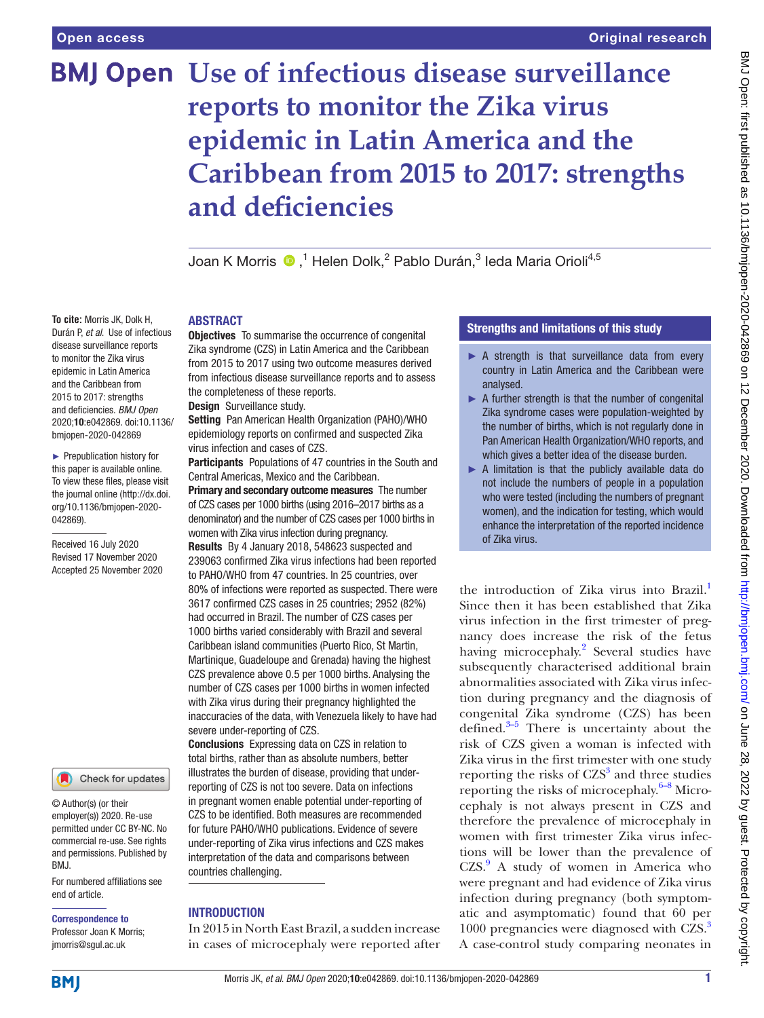**To cite:** Morris JK, Dolk H, Durán P, *et al*. Use of infectious disease surveillance reports to monitor the Zika virus epidemic in Latin America and the Caribbean from 2015 to 2017: strengths and deficiencies. *BMJ Open* 2020;10:e042869. doi:10.1136/ bmjopen-2020-042869 ► Prepublication history for this paper is available online. To view these files, please visit the journal online (http://dx.doi. org/10.1136/bmjopen-2020-

042869).

Received 16 July 2020 Revised 17 November 2020 Accepted 25 November 2020

# **BMJ Open Use of infectious disease surveillance reports to monitor the Zika virus epidemic in Latin America and the Caribbean from 2015 to 2017: strengths and deficiencies**

Joan K Morris ®,<sup>1</sup> Helen Dolk,<sup>2</sup> Pablo Durán,<sup>3</sup> leda Maria Orioli<sup>4,5</sup>

### **ARSTRACT**

**Objectives** To summarise the occurrence of congenital Zika syndrome (CZS) in Latin America and the Caribbean from 2015 to 2017 using two outcome measures derived from infectious disease surveillance reports and to assess the completeness of these reports.

Design Surveillance study.

Setting Pan American Health Organization (PAHO)/WHO epidemiology reports on confirmed and suspected Zika virus infection and cases of CZS.

Participants Populations of 47 countries in the South and Central Americas, Mexico and the Caribbean.

Primary and secondary outcome measures The number of CZS cases per 1000 births (using 2016–2017 births as a denominator) and the number of CZS cases per 1000 births in women with Zika virus infection during pregnancy. Results By 4 January 2018, 548623 suspected and 239063 confirmed Zika virus infections had been reported to PAHO/WHO from 47 countries. In 25 countries, over 80% of infections were reported as suspected. There were 3617 confirmed CZS cases in 25 countries; 2952 (82%) had occurred in Brazil. The number of CZS cases per 1000 births varied considerably with Brazil and several Caribbean island communities (Puerto Rico, St Martin, Martinique, Guadeloupe and Grenada) having the highest CZS prevalence above 0.5 per 1000 births. Analysing the number of CZS cases per 1000 births in women infected with Zika virus during their pregnancy highlighted the inaccuracies of the data, with Venezuela likely to have had severe under-reporting of CZS.

Conclusions Expressing data on CZS in relation to total births, rather than as absolute numbers, better illustrates the burden of disease, providing that underreporting of CZS is not too severe. Data on infections in pregnant women enable potential under-reporting of CZS to be identified. Both measures are recommended for future PAHO/WHO publications. Evidence of severe under-reporting of Zika virus infections and CZS makes interpretation of the data and comparisons between countries challenging.

### **INTRODUCTION**

In 2015 in North East Brazil, a sudden increase in cases of microcephaly were reported after

### Strengths and limitations of this study

- ► A strength is that surveillance data from every country in Latin America and the Caribbean were analysed.
- $\blacktriangleright$  A further strength is that the number of congenital Zika syndrome cases were population-weighted by the number of births, which is not regularly done in Pan American Health Organization/WHO reports, and which gives a better idea of the disease burden.
- ► A limitation is that the publicly available data do not include the numbers of people in a population who were tested (including the numbers of pregnant women), and the indication for testing, which would enhance the interpretation of the reported incidence of Zika virus.

the introduction of Zika virus into Brazil.<sup>1</sup> Since then it has been established that Zika virus infection in the first trimester of pregnancy does increase the risk of the fetus having microcephaly.<sup>[2](#page-9-1)</sup> Several studies have subsequently characterised additional brain abnormalities associated with Zika virus infection during pregnancy and the diagnosis of congenital Zika syndrome (CZS) has been defined.[3–5](#page-9-2) There is uncertainty about the risk of CZS given a woman is infected with Zika virus in the first trimester with one study reporting the risks of  $CZS<sup>3</sup>$  $CZS<sup>3</sup>$  $CZS<sup>3</sup>$  and three studies reporting the risks of microcephaly. $6-8$  Microcephaly is not always present in CZS and therefore the prevalence of microcephaly in women with first trimester Zika virus infections will be lower than the prevalence of CZS.[9](#page-9-4) A study of women in America who were pregnant and had evidence of Zika virus infection during pregnancy (both symptomatic and asymptomatic) found that 60 per 1000 pregnancies were diagnosed with CZS.<sup>3</sup> A case-control study comparing neonates in

**BMI** 

end of article.

BMJ.

Correspondence to Professor Joan K Morris; jmorris@sgul.ac.uk

© Author(s) (or their employer(s)) 2020. Re-use permitted under CC BY-NC. No commercial re-use. See rights and permissions. Published by

For numbered affiliations see

Check for updates

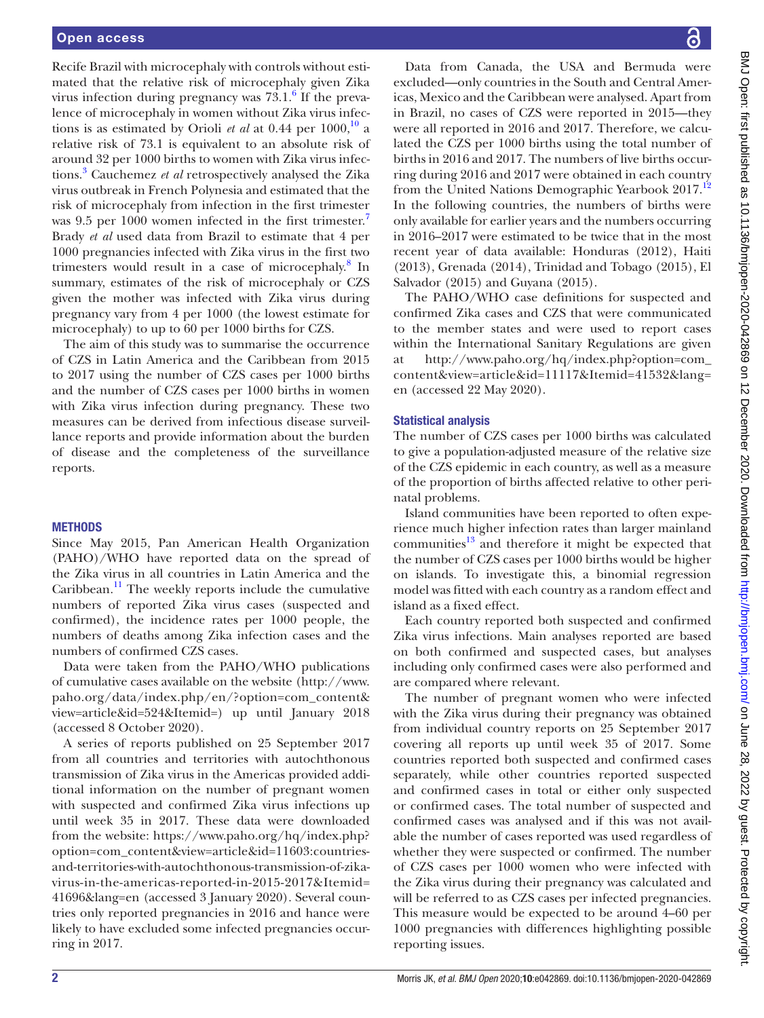Recife Brazil with microcephaly with controls without estimated that the relative risk of microcephaly given Zika virus infection during pregnancy was  $73.1<sup>6</sup>$  $73.1<sup>6</sup>$  $73.1<sup>6</sup>$  If the prevalence of microcephaly in women without Zika virus infections is as estimated by Orioli *et al* at 0.44 per  $1000$ ,  $\frac{10}{10}$  a relative risk of 73.1 is equivalent to an absolute risk of around 32 per 1000 births to women with Zika virus infections[.3](#page-9-2) Cauchemez *et al* retrospectively analysed the Zika virus outbreak in French Polynesia and estimated that the risk of microcephaly from infection in the first trimester was 9.5 per 1000 women infected in the first trimester.<sup>[7](#page-9-6)</sup> Brady *et al* used data from Brazil to estimate that 4 per 1000 pregnancies infected with Zika virus in the first two trimesters would result in a case of microcephaly.<sup>[8](#page-9-7)</sup> In summary, estimates of the risk of microcephaly or CZS given the mother was infected with Zika virus during pregnancy vary from 4 per 1000 (the lowest estimate for microcephaly) to up to 60 per 1000 births for CZS.

The aim of this study was to summarise the occurrence of CZS in Latin America and the Caribbean from 2015 to 2017 using the number of CZS cases per 1000 births and the number of CZS cases per 1000 births in women with Zika virus infection during pregnancy. These two measures can be derived from infectious disease surveillance reports and provide information about the burden of disease and the completeness of the surveillance reports.

### **METHODS**

Since May 2015, Pan American Health Organization (PAHO)/WHO have reported data on the spread of the Zika virus in all countries in Latin America and the Caribbean.<sup>[11](#page-9-8)</sup> The weekly reports include the cumulative numbers of reported Zika virus cases (suspected and confirmed), the incidence rates per 1000 people, the numbers of deaths among Zika infection cases and the numbers of confirmed CZS cases.

Data were taken from the PAHO/WHO publications of cumulative cases available on the website ([http://www.](http://www.paho.org/data/index.php/en/?option=com_content&view=article&id=524&Itemid=) [paho.org/data/index.php/en/?option=com\\_content&](http://www.paho.org/data/index.php/en/?option=com_content&view=article&id=524&Itemid=) [view=article&id=524&Itemid=\)](http://www.paho.org/data/index.php/en/?option=com_content&view=article&id=524&Itemid=) up until January 2018 (accessed 8 October 2020).

A series of reports published on 25 September 2017 from all countries and territories with autochthonous transmission of Zika virus in the Americas provided additional information on the number of pregnant women with suspected and confirmed Zika virus infections up until week 35 in 2017. These data were downloaded from the website: [https://www.paho.org/hq/index.php?](https://www.paho.org/hq/index.php?option=com_content&view=article&id=11603:countries-and-territories-with-autochthonous-transmission-of-zika-virus-in-the-americas-reported-in-2015-2017&Itemid=41696&lang=en) [option=com\\_content&view=article&id=11603:countries](https://www.paho.org/hq/index.php?option=com_content&view=article&id=11603:countries-and-territories-with-autochthonous-transmission-of-zika-virus-in-the-americas-reported-in-2015-2017&Itemid=41696&lang=en)[and-territories-with-autochthonous-transmission-of-zika](https://www.paho.org/hq/index.php?option=com_content&view=article&id=11603:countries-and-territories-with-autochthonous-transmission-of-zika-virus-in-the-americas-reported-in-2015-2017&Itemid=41696&lang=en)[virus-in-the-americas-reported-in-2015-2017&Itemid=](https://www.paho.org/hq/index.php?option=com_content&view=article&id=11603:countries-and-territories-with-autochthonous-transmission-of-zika-virus-in-the-americas-reported-in-2015-2017&Itemid=41696&lang=en) [41696&lang=en](https://www.paho.org/hq/index.php?option=com_content&view=article&id=11603:countries-and-territories-with-autochthonous-transmission-of-zika-virus-in-the-americas-reported-in-2015-2017&Itemid=41696&lang=en) (accessed 3 January 2020). Several countries only reported pregnancies in 2016 and hance were likely to have excluded some infected pregnancies occurring in 2017.

Data from Canada, the USA and Bermuda were excluded—only countries in the South and Central Americas, Mexico and the Caribbean were analysed. Apart from in Brazil, no cases of CZS were reported in 2015—they were all reported in 2016 and 2017. Therefore, we calculated the CZS per 1000 births using the total number of births in 2016 and 2017. The numbers of live births occurring during 2016 and 2017 were obtained in each country from the United Nations Demographic Yearbook 2017.<sup>[12](#page-9-9)</sup> In the following countries, the numbers of births were only available for earlier years and the numbers occurring in 2016–2017 were estimated to be twice that in the most recent year of data available: Honduras (2012), Haiti (2013), Grenada (2014), Trinidad and Tobago (2015), El Salvador (2015) and Guyana (2015).

The PAHO/WHO case definitions for suspected and confirmed Zika cases and CZS that were communicated to the member states and were used to report cases within the International Sanitary Regulations are given at [http://www.paho.org/hq/index.php?option=com\\_](http://www.paho.org/hq/index.php?option=com_content&view=article&id=11117&Itemid=41532&lang=en) [content&view=article&id=11117&Itemid=41532&lang=](http://www.paho.org/hq/index.php?option=com_content&view=article&id=11117&Itemid=41532&lang=en) [en](http://www.paho.org/hq/index.php?option=com_content&view=article&id=11117&Itemid=41532&lang=en) (accessed 22 May 2020).

### Statistical analysis

The number of CZS cases per 1000 births was calculated to give a population-adjusted measure of the relative size of the CZS epidemic in each country, as well as a measure of the proportion of births affected relative to other perinatal problems.

Island communities have been reported to often experience much higher infection rates than larger mainland communities $^{13}$  $^{13}$  $^{13}$  and therefore it might be expected that the number of CZS cases per 1000 births would be higher on islands. To investigate this, a binomial regression model was fitted with each country as a random effect and island as a fixed effect.

Each country reported both suspected and confirmed Zika virus infections. Main analyses reported are based on both confirmed and suspected cases, but analyses including only confirmed cases were also performed and are compared where relevant.

The number of pregnant women who were infected with the Zika virus during their pregnancy was obtained from individual country reports on 25 September 2017 covering all reports up until week 35 of 2017. Some countries reported both suspected and confirmed cases separately, while other countries reported suspected and confirmed cases in total or either only suspected or confirmed cases. The total number of suspected and confirmed cases was analysed and if this was not available the number of cases reported was used regardless of whether they were suspected or confirmed. The number of CZS cases per 1000 women who were infected with the Zika virus during their pregnancy was calculated and will be referred to as CZS cases per infected pregnancies. This measure would be expected to be around 4–60 per 1000 pregnancies with differences highlighting possible reporting issues.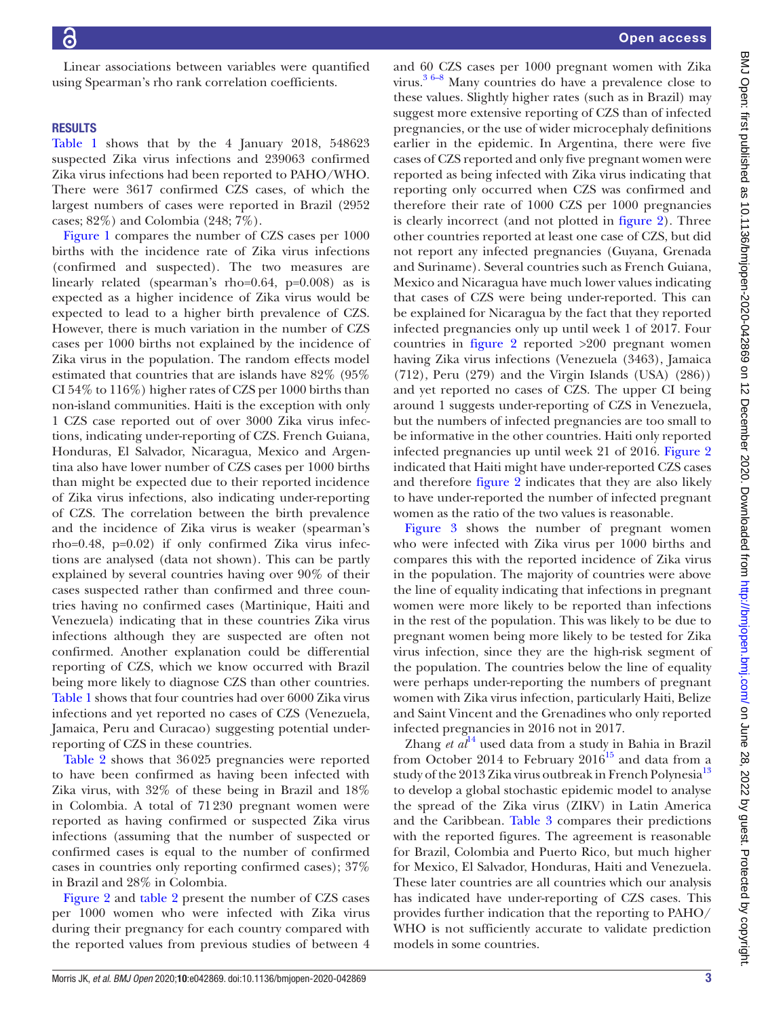Linear associations between variables were quantified using Spearman's rho rank correlation coefficients.

## RESULTS

[Table](#page-3-0) 1 shows that by the 4 January 2018, 548623 suspected Zika virus infections and 239063 confirmed Zika virus infections had been reported to PAHO/WHO. There were 3617 confirmed CZS cases, of which the largest numbers of cases were reported in Brazil (2952 cases; 82%) and Colombia (248; 7%).

[Figure](#page-5-0) 1 compares the number of CZS cases per 1000 births with the incidence rate of Zika virus infections (confirmed and suspected). The two measures are linearly related (spearman's rho=0.64, p=0.008) as is expected as a higher incidence of Zika virus would be expected to lead to a higher birth prevalence of CZS. However, there is much variation in the number of CZS cases per 1000 births not explained by the incidence of Zika virus in the population. The random effects model estimated that countries that are islands have 82% (95% CI 54% to 116%) higher rates of CZS per 1000 births than non-island communities. Haiti is the exception with only 1 CZS case reported out of over 3000 Zika virus infections, indicating under-reporting of CZS. French Guiana, Honduras, El Salvador, Nicaragua, Mexico and Argentina also have lower number of CZS cases per 1000 births than might be expected due to their reported incidence of Zika virus infections, also indicating under-reporting of CZS. The correlation between the birth prevalence and the incidence of Zika virus is weaker (spearman's rho=0.48, p=0.02) if only confirmed Zika virus infections are analysed (data not shown). This can be partly explained by several countries having over 90% of their cases suspected rather than confirmed and three countries having no confirmed cases (Martinique, Haiti and Venezuela) indicating that in these countries Zika virus infections although they are suspected are often not confirmed. Another explanation could be differential reporting of CZS, which we know occurred with Brazil being more likely to diagnose CZS than other countries. [Table](#page-3-0) 1 shows that four countries had over 6000 Zika virus infections and yet reported no cases of CZS (Venezuela, Jamaica, Peru and Curacao) suggesting potential underreporting of CZS in these countries.

[Table](#page-6-0) 2 shows that 36025 pregnancies were reported to have been confirmed as having been infected with Zika virus, with 32% of these being in Brazil and 18% in Colombia. A total of 71230 pregnant women were reported as having confirmed or suspected Zika virus infections (assuming that the number of suspected or confirmed cases is equal to the number of confirmed cases in countries only reporting confirmed cases); 37% in Brazil and 28% in Colombia.

[Figure](#page-7-0) 2 and [table](#page-6-0) 2 present the number of CZS cases per 1000 women who were infected with Zika virus during their pregnancy for each country compared with the reported values from previous studies of between 4

and 60 CZS cases per 1000 pregnant women with Zika virus. $36-8$  Many countries do have a prevalence close to these values. Slightly higher rates (such as in Brazil) may suggest more extensive reporting of CZS than of infected pregnancies, or the use of wider microcephaly definitions earlier in the epidemic. In Argentina, there were five cases of CZS reported and only five pregnant women were reported as being infected with Zika virus indicating that reporting only occurred when CZS was confirmed and therefore their rate of 1000 CZS per 1000 pregnancies is clearly incorrect (and not plotted in [figure](#page-7-0) 2). Three other countries reported at least one case of CZS, but did not report any infected pregnancies (Guyana, Grenada and Suriname). Several countries such as French Guiana, Mexico and Nicaragua have much lower values indicating that cases of CZS were being under-reported. This can be explained for Nicaragua by the fact that they reported infected pregnancies only up until week 1 of 2017. Four countries in [figure](#page-7-0) 2 reported >200 pregnant women having Zika virus infections (Venezuela (3463), Jamaica (712), Peru (279) and the Virgin Islands (USA) (286)) and yet reported no cases of CZS. The upper CI being around 1 suggests under-reporting of CZS in Venezuela, but the numbers of infected pregnancies are too small to be informative in the other countries. Haiti only reported infected pregnancies up until week 21 of 2016. [Figure](#page-7-0) 2 indicated that Haiti might have under-reported CZS cases and therefore [figure](#page-7-0) 2 indicates that they are also likely to have under-reported the number of infected pregnant women as the ratio of the two values is reasonable.

[Figure](#page-8-0) 3 shows the number of pregnant women who were infected with Zika virus per 1000 births and compares this with the reported incidence of Zika virus in the population. The majority of countries were above the line of equality indicating that infections in pregnant women were more likely to be reported than infections in the rest of the population. This was likely to be due to pregnant women being more likely to be tested for Zika virus infection, since they are the high-risk segment of the population. The countries below the line of equality were perhaps under-reporting the numbers of pregnant women with Zika virus infection, particularly Haiti, Belize and Saint Vincent and the Grenadines who only reported infected pregnancies in 2016 not in 2017.

Zhang  $et \ a l^{14}$  used data from a study in Bahia in Brazil from October 2014 to February  $2016^{15}$  and data from a study of the 20[13](#page-9-10) Zika virus outbreak in French Polynesia<sup>13</sup> to develop a global stochastic epidemic model to analyse the spread of the Zika virus (ZIKV) in Latin America and the Caribbean. [Table](#page-8-1) 3 compares their predictions with the reported figures. The agreement is reasonable for Brazil, Colombia and Puerto Rico, but much higher for Mexico, El Salvador, Honduras, Haiti and Venezuela. These later countries are all countries which our analysis has indicated have under-reporting of CZS cases. This provides further indication that the reporting to PAHO/ WHO is not sufficiently accurate to validate prediction models in some countries.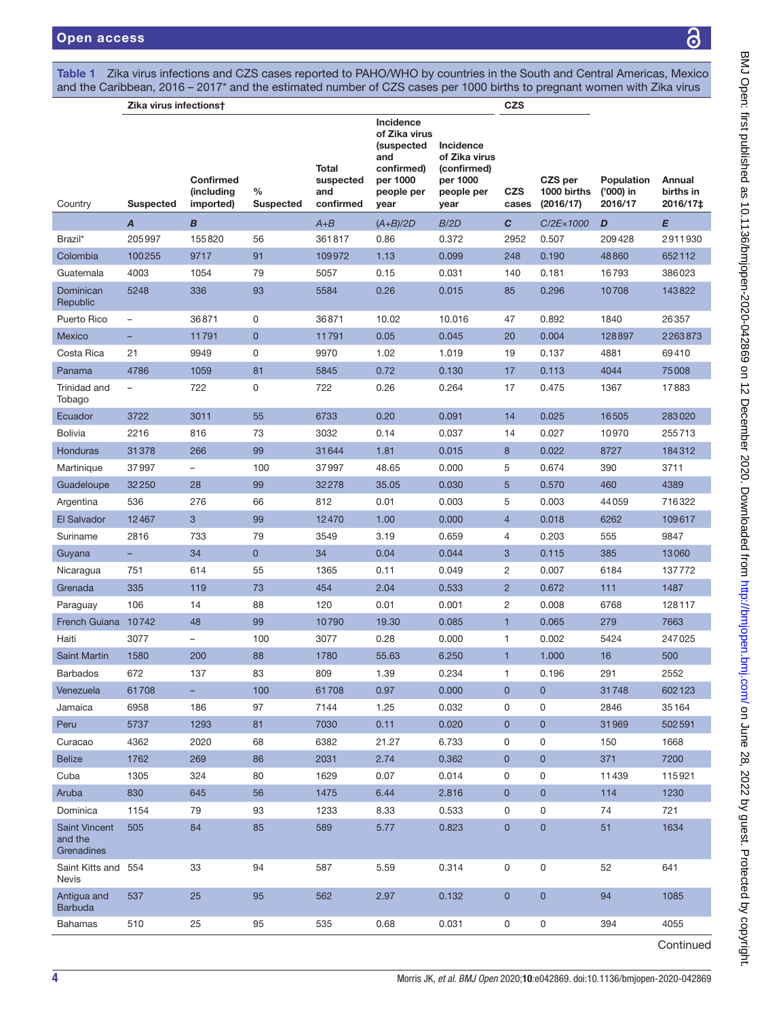<span id="page-3-0"></span>Table 1 Zika virus infections and CZS cases reported to PAHO/WHO by countries in the South and Central Americas, Mexico and the Caribbean, 2016 – 2017\* and the estimated number of CZS cases per 1000 births to pregnant women with Zika virus

|                                     | Zika virus infections†   |                                             |                          |                                        |                                                                                                 |                                                                             | <b>CZS</b>          |                                     |                                           |                                 |
|-------------------------------------|--------------------------|---------------------------------------------|--------------------------|----------------------------------------|-------------------------------------------------------------------------------------------------|-----------------------------------------------------------------------------|---------------------|-------------------------------------|-------------------------------------------|---------------------------------|
| Country                             | <b>Suspected</b>         | <b>Confirmed</b><br>(including<br>imported) | $\%$<br><b>Suspected</b> | Total<br>suspected<br>and<br>confirmed | Incidence<br>of Zika virus<br>(suspected<br>and<br>confirmed)<br>per 1000<br>people per<br>year | Incidence<br>of Zika virus<br>(confirmed)<br>per 1000<br>people per<br>year | CZS<br>cases        | CZS per<br>1000 births<br>(2016/17) | <b>Population</b><br>('000) in<br>2016/17 | Annual<br>births in<br>2016/17‡ |
|                                     | $\boldsymbol{A}$         | B                                           |                          | $A+B$                                  | $(A+B)/2D$                                                                                      | B/2D                                                                        | $\mathbf{C}$        | C/2E×1000                           | D                                         | E                               |
| Brazil*                             | 205997                   | 155820                                      | 56                       | 361817                                 | 0.86                                                                                            | 0.372                                                                       | 2952                | 0.507                               | 209428                                    | 2911930                         |
| Colombia                            | 100255                   | 9717                                        | 91                       | 109972                                 | 1.13                                                                                            | 0.099                                                                       | 248                 | 0.190                               | 48860                                     | 652112                          |
| Guatemala                           | 4003                     | 1054                                        | 79                       | 5057                                   | 0.15                                                                                            | 0.031                                                                       | 140                 | 0.181                               | 16793                                     | 386023                          |
| Dominican<br>Republic               | 5248                     | 336                                         | 93                       | 5584                                   | 0.26                                                                                            | 0.015                                                                       | 85                  | 0.296                               | 10708                                     | 143822                          |
| Puerto Rico                         | $\qquad \qquad -$        | 36871                                       | 0                        | 36871                                  | 10.02                                                                                           | 10.016                                                                      | 47                  | 0.892                               | 1840                                      | 26357                           |
| Mexico                              |                          | 11791                                       | $\overline{0}$           | 11791                                  | 0.05                                                                                            | 0.045                                                                       | 20                  | 0.004                               | 128897                                    | 2263873                         |
| Costa Rica                          | 21                       | 9949                                        | 0                        | 9970                                   | 1.02                                                                                            | 1.019                                                                       | 19                  | 0.137                               | 4881                                      | 69410                           |
| Panama                              | 4786                     | 1059                                        | 81                       | 5845                                   | 0.72                                                                                            | 0.130                                                                       | 17                  | 0.113                               | 4044                                      | 75008                           |
| Trinidad and<br>Tobago              | $\overline{\phantom{m}}$ | 722                                         | 0                        | 722                                    | 0.26                                                                                            | 0.264                                                                       | 17                  | 0.475                               | 1367                                      | 17883                           |
| Ecuador                             | 3722                     | 3011                                        | 55                       | 6733                                   | 0.20                                                                                            | 0.091                                                                       | 14                  | 0.025                               | 16505                                     | 283020                          |
| <b>Bolivia</b>                      | 2216                     | 816                                         | 73                       | 3032                                   | 0.14                                                                                            | 0.037                                                                       | 14                  | 0.027                               | 10970                                     | 255713                          |
| Honduras                            | 31378                    | 266                                         | 99                       | 31644                                  | 1.81                                                                                            | 0.015                                                                       | $\bf{8}$            | 0.022                               | 8727                                      | 184312                          |
| Martinique                          | 37997                    | $\overline{\phantom{0}}$                    | 100                      | 37997                                  | 48.65                                                                                           | 0.000                                                                       | 5                   | 0.674                               | 390                                       | 3711                            |
| Guadeloupe                          | 32250                    | 28                                          | 99                       | 32278                                  | 35.05                                                                                           | 0.030                                                                       | 5                   | 0.570                               | 460                                       | 4389                            |
| Argentina                           | 536                      | 276                                         | 66                       | 812                                    | 0.01                                                                                            | 0.003                                                                       | 5                   | 0.003                               | 44059                                     | 716322                          |
| El Salvador                         | 12467                    | 3                                           | 99                       | 12470                                  | 1.00                                                                                            | 0.000                                                                       | $\overline{4}$      | 0.018                               | 6262                                      | 109617                          |
| Suriname                            | 2816                     | 733                                         | 79                       | 3549                                   | 3.19                                                                                            | 0.659                                                                       | $\overline{4}$      | 0.203                               | 555                                       | 9847                            |
| Guyana                              |                          | 34                                          | $\overline{0}$           | 34                                     | 0.04                                                                                            | 0.044                                                                       | 3                   | 0.115                               | 385                                       | 13060                           |
| Nicaragua                           | 751                      | 614                                         | 55                       | 1365                                   | 0.11                                                                                            | 0.049                                                                       | $\overline{2}$      | 0.007                               | 6184                                      | 137772                          |
| Grenada                             | 335                      | 119                                         | 73                       | 454                                    | 2.04                                                                                            | 0.533                                                                       | $\overline{2}$      | 0.672                               | 111                                       | 1487                            |
| Paraguay                            | 106                      | 14                                          | 88                       | 120                                    | 0.01                                                                                            | 0.001                                                                       | $\overline{2}$      | 0.008                               | 6768                                      | 128117                          |
| French Guiana 10742                 |                          | 48                                          | 99                       | 10790                                  | 19.30                                                                                           | 0.085                                                                       | 1.                  | 0.065                               | 279                                       | 7663                            |
| Haiti                               | 3077                     | $\overline{\phantom{0}}$                    | 100                      | 3077                                   | 0.28                                                                                            | 0.000                                                                       | $\mathbf{1}$        | 0.002                               | 5424                                      | 247025                          |
| <b>Saint Martin</b>                 | 1580                     | 200                                         | 88                       | 1780                                   | 55.63                                                                                           | 6.250                                                                       | $\mathbf{1}$        | 1.000                               | 16                                        | 500                             |
| Barbados                            | 672                      | 137                                         | 83                       | 809                                    | 1.39                                                                                            | 0.234                                                                       | 1                   | 0.196                               | 291                                       | 2552                            |
| Venezuela                           | 61708                    | ц.                                          | 100                      | 61708                                  | 0.97                                                                                            | 0.000                                                                       | $\mathbf{0}$        | $\pmb{0}$                           | 31748                                     | 602123                          |
| Jamaica                             | 6958                     | 186                                         | 97                       | 7144                                   | 1.25                                                                                            | 0.032                                                                       | 0                   | 0                                   | 2846                                      | 35164                           |
| Peru                                | 5737                     | 1293                                        | 81                       | 7030                                   | 0.11                                                                                            | 0.020                                                                       | $\mathsf{O}\xspace$ | $\pmb{0}$                           | 31969                                     | 502591                          |
| Curacao                             | 4362                     | 2020                                        | 68                       | 6382                                   | 21.27                                                                                           | 6.733                                                                       | 0                   | 0                                   | 150                                       | 1668                            |
| <b>Belize</b><br>Cuba               | 1762<br>1305             | 269<br>324                                  | 86<br>80                 | 2031<br>1629                           | 2.74<br>0.07                                                                                    | 0.362<br>0.014                                                              | $\mathbf{0}$<br>0   | 0<br>0                              | 371<br>11439                              | 7200<br>115921                  |
| Aruba                               | 830                      | 645                                         | 56                       | 1475                                   | 6.44                                                                                            | 2.816                                                                       | $\mathbf{0}$        | $\pmb{0}$                           | 114                                       | 1230                            |
| Dominica                            | 1154                     | 79                                          | 93                       | 1233                                   | 8.33                                                                                            | 0.533                                                                       | 0                   | 0                                   | 74                                        | 721                             |
| <b>Saint Vincent</b>                | 505                      | 84                                          | 85                       | 589                                    | 5.77                                                                                            | 0.823                                                                       | $\mathbf 0$         | $\pmb{0}$                           | 51                                        | 1634                            |
| and the<br>Grenadines               |                          |                                             |                          |                                        |                                                                                                 |                                                                             |                     |                                     |                                           |                                 |
| Saint Kitts and 554<br><b>Nevis</b> |                          | 33                                          | 94                       | 587                                    | 5.59                                                                                            | 0.314                                                                       | 0                   | 0                                   | 52                                        | 641                             |
| Antigua and<br><b>Barbuda</b>       | 537                      | 25                                          | 95                       | 562                                    | 2.97                                                                                            | 0.132                                                                       | $\mathsf{O}\xspace$ | $\pmb{0}$                           | 94                                        | 1085                            |
| <b>Bahamas</b>                      | 510                      | 25                                          | 95                       | 535                                    | 0.68                                                                                            | 0.031                                                                       | $\mathsf{O}\xspace$ | 0                                   | 394                                       | 4055                            |
|                                     |                          |                                             |                          |                                        |                                                                                                 |                                                                             |                     |                                     |                                           |                                 |

Continued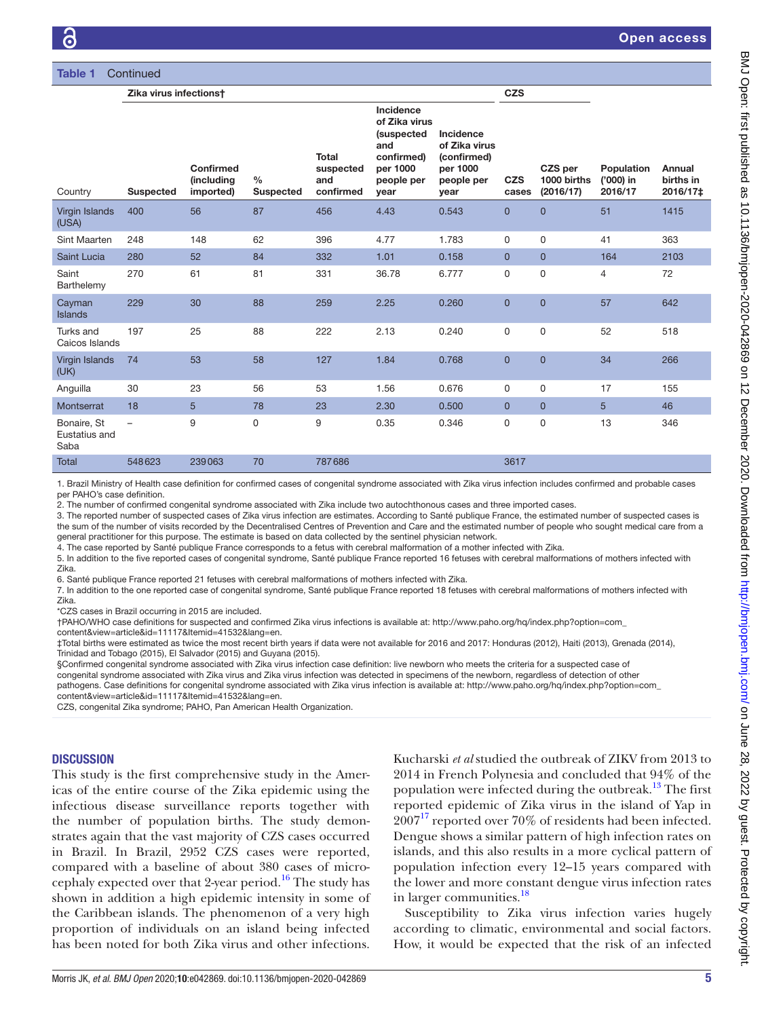| <b>Table 1</b><br>Continued          |                          |                                             |                                   |                                               |                                                                                                        |                                                                             |                     |                                     |                                    |                                 |
|--------------------------------------|--------------------------|---------------------------------------------|-----------------------------------|-----------------------------------------------|--------------------------------------------------------------------------------------------------------|-----------------------------------------------------------------------------|---------------------|-------------------------------------|------------------------------------|---------------------------------|
|                                      | Zika virus infectionst   |                                             |                                   |                                               |                                                                                                        |                                                                             |                     |                                     |                                    |                                 |
| Country                              | <b>Suspected</b>         | Confirmed<br><i>(including</i><br>imported) | $\frac{0}{0}$<br><b>Suspected</b> | <b>Total</b><br>suspected<br>and<br>confirmed | Incidence<br>of Zika virus<br><i>(suspected</i><br>and<br>confirmed)<br>per 1000<br>people per<br>year | Incidence<br>of Zika virus<br>(confirmed)<br>per 1000<br>people per<br>year | <b>CZS</b><br>cases | CZS per<br>1000 births<br>(2016/17) | Population<br>('000) in<br>2016/17 | Annual<br>births in<br>2016/17‡ |
| Virgin Islands<br>(USA)              | 400                      | 56                                          | 87                                | 456                                           | 4.43                                                                                                   | 0.543                                                                       | $\overline{0}$      | $\Omega$                            | 51                                 | 1415                            |
| Sint Maarten                         | 248                      | 148                                         | 62                                | 396                                           | 4.77                                                                                                   | 1.783                                                                       | $\mathbf 0$         | 0                                   | 41                                 | 363                             |
| Saint Lucia                          | 280                      | 52                                          | 84                                | 332                                           | 1.01                                                                                                   | 0.158                                                                       | $\mathbf{0}$        | $\overline{0}$                      | 164                                | 2103                            |
| Saint<br>Barthelemy                  | 270                      | 61                                          | 81                                | 331                                           | 36.78                                                                                                  | 6.777                                                                       | $\Omega$            | $\mathbf 0$                         | $\overline{4}$                     | 72                              |
| Cayman<br>Islands                    | 229                      | 30                                          | 88                                | 259                                           | 2.25                                                                                                   | 0.260                                                                       | $\overline{0}$      | $\overline{0}$                      | 57                                 | 642                             |
| Turks and<br>Caicos Islands          | 197                      | 25                                          | 88                                | 222                                           | 2.13                                                                                                   | 0.240                                                                       | $\Omega$            | $\Omega$                            | 52                                 | 518                             |
| <b>Virgin Islands</b><br>(UK)        | 74                       | 53                                          | 58                                | 127                                           | 1.84                                                                                                   | 0.768                                                                       | $\overline{0}$      | $\overline{0}$                      | 34                                 | 266                             |
| Anguilla                             | 30                       | 23                                          | 56                                | 53                                            | 1.56                                                                                                   | 0.676                                                                       | $\mathbf 0$         | 0                                   | 17                                 | 155                             |
| Montserrat                           | 18                       | 5                                           | 78                                | 23                                            | 2.30                                                                                                   | 0.500                                                                       | $\mathbf{0}$        | $\overline{0}$                      | 5                                  | 46                              |
| Bonaire, St<br>Eustatius and<br>Saba | $\overline{\phantom{0}}$ | 9                                           | 0                                 | 9                                             | 0.35                                                                                                   | 0.346                                                                       | $\mathbf 0$         | $\mathbf 0$                         | 13                                 | 346                             |
| <b>Total</b>                         | 548623                   | 239063                                      | 70                                | 787686                                        |                                                                                                        |                                                                             | 3617                |                                     |                                    |                                 |

1. Brazil Ministry of Health case definition for confirmed cases of congenital syndrome associated with Zika virus infection includes confirmed and probable cases per PAHO's case definition.

2. The number of confirmed congenital syndrome associated with Zika include two autochthonous cases and three imported cases. 3. The reported number of suspected cases of Zika virus infection are estimates. According to Santé publique France, the estimated number of suspected cases is the sum of the number of visits recorded by the Decentralised Centres of Prevention and Care and the estimated number of people who sought medical care from a general practitioner for this purpose. The estimate is based on data collected by the sentinel physician network.

4. The case reported by Santé publique France corresponds to a fetus with cerebral malformation of a mother infected with Zika.

5. In addition to the five reported cases of congenital syndrome, Santé publique France reported 16 fetuses with cerebral malformations of mothers infected with Zika.

6. Santé publique France reported 21 fetuses with cerebral malformations of mothers infected with Zika.

7. In addition to the one reported case of congenital syndrome, Santé publique France reported 18 fetuses with cerebral malformations of mothers infected with Zika.

\*CZS cases in Brazil occurring in 2015 are included.

†PAHO/WHO case definitions for suspected and confirmed Zika virus infections is available at: [http://www.paho.org/hq/index.php?option=com\\_](http://www.paho.org/hq/index.php?option=com_content&view=article&id=11117&Itemid=41532&lang=en)

[content&view=article&id=11117&Itemid=41532&lang=en](http://www.paho.org/hq/index.php?option=com_content&view=article&id=11117&Itemid=41532&lang=en).

‡Total births were estimated as twice the most recent birth years if data were not available for 2016 and 2017: Honduras (2012), Haiti (2013), Grenada (2014), Trinidad and Tobago (2015), El Salvador (2015) and Guyana (2015).

§Confirmed congenital syndrome associated with Zika virus infection case definition: live newborn who meets the criteria for a suspected case of

congenital syndrome associated with Zika virus and Zika virus infection was detected in specimens of the newborn, regardless of detection of other pathogens. Case definitions for congenital syndrome associated with Zika virus infection is available at: [http://www.paho.org/hq/index.php?option=com\\_](http://www.paho.org/hq/index.php?option=com_content&view=article&id=11117&Itemid=41532&lang=en) [content&view=article&id=11117&Itemid=41532&lang=en](http://www.paho.org/hq/index.php?option=com_content&view=article&id=11117&Itemid=41532&lang=en).

CZS, congenital Zika syndrome; PAHO, Pan American Health Organization.

### **DISCUSSION**

This study is the first comprehensive study in the Americas of the entire course of the Zika epidemic using the infectious disease surveillance reports together with the number of population births. The study demonstrates again that the vast majority of CZS cases occurred in Brazil. In Brazil, 2952 CZS cases were reported, compared with a baseline of about 380 cases of microcephaly expected over that 2-year period.<sup>16</sup> The study has shown in addition a high epidemic intensity in some of the Caribbean islands. The phenomenon of a very high proportion of individuals on an island being infected has been noted for both Zika virus and other infections.

Kucharski *et al* studied the outbreak of ZIKV from 2013 to 2014 in French Polynesia and concluded that 94% of the population were infected during the outbreak.<sup>13</sup> The first reported epidemic of Zika virus in the island of Yap in  $2007<sup>17</sup>$  reported over 70% of residents had been infected. Dengue shows a similar pattern of high infection rates on islands, and this also results in a more cyclical pattern of population infection every 12–15 years compared with the lower and more constant dengue virus infection rates in larger communities.<sup>[18](#page-9-15)</sup>

Susceptibility to Zika virus infection varies hugely according to climatic, environmental and social factors. How, it would be expected that the risk of an infected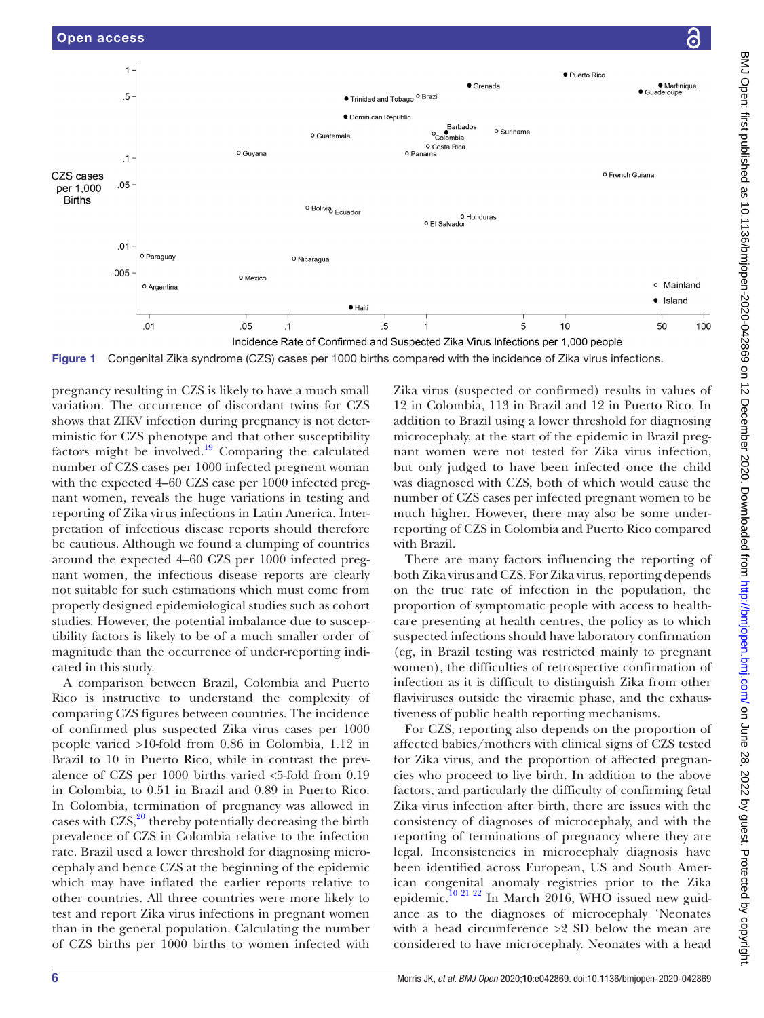

Incidence Rate of Confirmed and Suspected Zika Virus Infections per 1,000 people

<span id="page-5-0"></span>Figure 1 Congenital Zika syndrome (CZS) cases per 1000 births compared with the incidence of Zika virus infections.

pregnancy resulting in CZS is likely to have a much small variation. The occurrence of discordant twins for CZS shows that ZIKV infection during pregnancy is not deterministic for CZS phenotype and that other susceptibility factors might be involved. $19$  Comparing the calculated number of CZS cases per 1000 infected pregnent woman with the expected 4–60 CZS case per 1000 infected pregnant women, reveals the huge variations in testing and reporting of Zika virus infections in Latin America. Interpretation of infectious disease reports should therefore be cautious. Although we found a clumping of countries around the expected 4–60 CZS per 1000 infected pregnant women, the infectious disease reports are clearly not suitable for such estimations which must come from properly designed epidemiological studies such as cohort studies. However, the potential imbalance due to susceptibility factors is likely to be of a much smaller order of magnitude than the occurrence of under-reporting indicated in this study.

A comparison between Brazil, Colombia and Puerto Rico is instructive to understand the complexity of comparing CZS figures between countries. The incidence of confirmed plus suspected Zika virus cases per 1000 people varied >10-fold from 0.86 in Colombia, 1.12 in Brazil to 10 in Puerto Rico, while in contrast the prevalence of CZS per 1000 births varied <5-fold from 0.19 in Colombia, to 0.51 in Brazil and 0.89 in Puerto Rico. In Colombia, termination of pregnancy was allowed in cases with  $CZS$ ,<sup>20</sup> thereby potentially decreasing the birth prevalence of CZS in Colombia relative to the infection rate. Brazil used a lower threshold for diagnosing microcephaly and hence CZS at the beginning of the epidemic which may have inflated the earlier reports relative to other countries. All three countries were more likely to test and report Zika virus infections in pregnant women than in the general population. Calculating the number of CZS births per 1000 births to women infected with

Zika virus (suspected or confirmed) results in values of 12 in Colombia, 113 in Brazil and 12 in Puerto Rico. In addition to Brazil using a lower threshold for diagnosing microcephaly, at the start of the epidemic in Brazil pregnant women were not tested for Zika virus infection, but only judged to have been infected once the child was diagnosed with CZS, both of which would cause the number of CZS cases per infected pregnant women to be much higher. However, there may also be some underreporting of CZS in Colombia and Puerto Rico compared with Brazil.

There are many factors influencing the reporting of both Zika virus and CZS. For Zika virus, reporting depends on the true rate of infection in the population, the proportion of symptomatic people with access to healthcare presenting at health centres, the policy as to which suspected infections should have laboratory confirmation (eg, in Brazil testing was restricted mainly to pregnant women), the difficulties of retrospective confirmation of infection as it is difficult to distinguish Zika from other flaviviruses outside the viraemic phase, and the exhaustiveness of public health reporting mechanisms.

For CZS, reporting also depends on the proportion of affected babies/mothers with clinical signs of CZS tested for Zika virus, and the proportion of affected pregnancies who proceed to live birth. In addition to the above factors, and particularly the difficulty of confirming fetal Zika virus infection after birth, there are issues with the consistency of diagnoses of microcephaly, and with the reporting of terminations of pregnancy where they are legal. Inconsistencies in microcephaly diagnosis have been identified across European, US and South American congenital anomaly registries prior to the Zika epidemic.<sup>10 21 22</sup> In March 2016, WHO issued new guidance as to the diagnoses of microcephaly 'Neonates with a head circumference >2 SD below the mean are considered to have microcephaly. Neonates with a head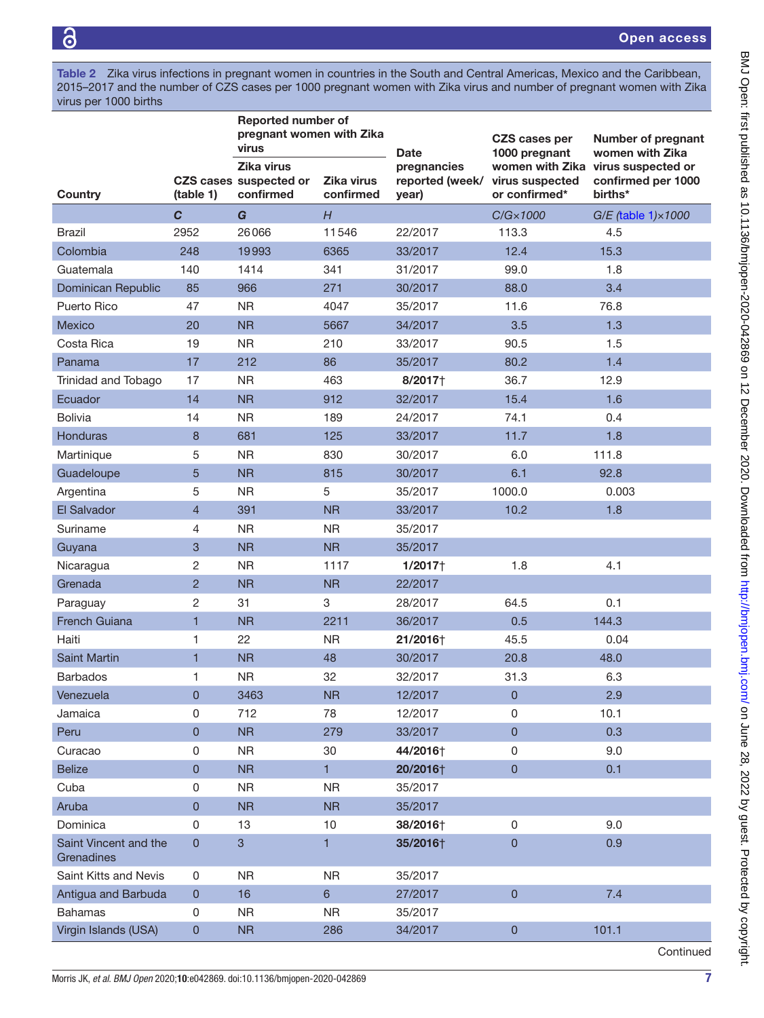<span id="page-6-0"></span>Table 2 Zika virus infections in pregnant women in countries in the South and Central Americas, Mexico and the Caribbean, 2015–2017 and the number of CZS cases per 1000 pregnant women with Zika virus and number of pregnant women with Zika virus per 1000 births

|                                     |                | <b>Reported number of</b><br>pregnant women with Zika<br>virus |                                | <b>Date</b>                             | CZS cases per<br>1000 pregnant   | <b>Number of pregnant</b><br>women with Zika                        |  |
|-------------------------------------|----------------|----------------------------------------------------------------|--------------------------------|-----------------------------------------|----------------------------------|---------------------------------------------------------------------|--|
| Country                             | (table 1)      | Zika virus<br>CZS cases suspected or<br>confirmed              | <b>Zika virus</b><br>confirmed | pregnancies<br>reported (week/<br>year) | virus suspected<br>or confirmed* | women with Zika virus suspected or<br>confirmed per 1000<br>births* |  |
|                                     | $\mathbf{C}$   | G                                                              | H                              |                                         | $C/G \times 1000$                | G/E (table 1) × 1000                                                |  |
| Brazil                              | 2952           | 26066                                                          | 11546                          | 22/2017                                 | 113.3                            | 4.5                                                                 |  |
| Colombia                            | 248            | 19993                                                          | 6365                           | 33/2017                                 | 12.4                             | 15.3                                                                |  |
| Guatemala                           | 140            | 1414                                                           | 341                            | 31/2017                                 | 99.0                             | 1.8                                                                 |  |
| Dominican Republic                  | 85             | 966                                                            | 271                            | 30/2017                                 | 88.0                             | 3.4                                                                 |  |
| Puerto Rico                         | 47             | <b>NR</b>                                                      | 4047                           | 35/2017                                 | 11.6                             | 76.8                                                                |  |
| Mexico                              | 20             | <b>NR</b>                                                      | 5667                           | 34/2017                                 | 3.5                              | 1.3                                                                 |  |
| Costa Rica                          | 19             | <b>NR</b>                                                      | 210                            | 33/2017                                 | 90.5                             | 1.5                                                                 |  |
| Panama                              | 17             | 212                                                            | 86                             | 35/2017                                 | 80.2                             | 1.4                                                                 |  |
| Trinidad and Tobago                 | 17             | <b>NR</b>                                                      | 463                            | 8/2017+                                 | 36.7                             | 12.9                                                                |  |
| Ecuador                             | 14             | <b>NR</b>                                                      | 912                            | 32/2017                                 | 15.4                             | 1.6                                                                 |  |
| <b>Bolivia</b>                      | 14             | <b>NR</b>                                                      | 189                            | 24/2017                                 | 74.1                             | 0.4                                                                 |  |
| <b>Honduras</b>                     | 8              | 681                                                            | 125                            | 33/2017                                 | 11.7                             | 1.8                                                                 |  |
| Martinique                          | 5              | <b>NR</b>                                                      | 830                            | 30/2017                                 | 6.0                              | 111.8                                                               |  |
| Guadeloupe                          | 5              | <b>NR</b>                                                      | 815                            | 30/2017                                 | 6.1                              | 92.8                                                                |  |
| Argentina                           | 5              | <b>NR</b>                                                      | 5                              | 35/2017                                 | 1000.0                           | 0.003                                                               |  |
| El Salvador                         | $\overline{4}$ | 391                                                            | <b>NR</b>                      | 33/2017                                 | 10.2                             | 1.8                                                                 |  |
| Suriname                            | 4              | <b>NR</b>                                                      | <b>NR</b>                      | 35/2017                                 |                                  |                                                                     |  |
| Guyana                              | 3              | <b>NR</b>                                                      | <b>NR</b>                      | 35/2017                                 |                                  |                                                                     |  |
| Nicaragua                           | 2              | <b>NR</b>                                                      | 1117                           | 1/2017                                  | 1.8                              | 4.1                                                                 |  |
| Grenada                             | $\overline{c}$ | <b>NR</b>                                                      | <b>NR</b>                      | 22/2017                                 |                                  |                                                                     |  |
| Paraguay                            | 2              | 31                                                             | 3                              | 28/2017                                 | 64.5                             | 0.1                                                                 |  |
| French Guiana                       | $\overline{1}$ | <b>NR</b>                                                      | 2211                           | 36/2017                                 | 0.5                              | 144.3                                                               |  |
| Haiti                               | 1              | 22                                                             | <b>NR</b>                      | 21/2016+                                | 45.5                             | 0.04                                                                |  |
| <b>Saint Martin</b>                 | $\mathbf{1}$   | <b>NR</b>                                                      | 48                             | 30/2017                                 | 20.8                             | 48.0                                                                |  |
| <b>Barbados</b>                     | 1              | <b>NR</b>                                                      | 32                             | 32/2017                                 | 31.3                             | 6.3                                                                 |  |
| Venezuela                           | $\pmb{0}$      | 3463                                                           | <b>NR</b>                      | 12/2017                                 | $\mathbf{0}$                     | 2.9                                                                 |  |
| Jamaica                             | 0              | 712                                                            | 78                             | 12/2017                                 | 0                                | 10.1                                                                |  |
| Peru                                | $\pmb{0}$      | NR                                                             | 279                            | 33/2017                                 | $\mathbf 0$                      | 0.3                                                                 |  |
| Curacao                             | 0              | <b>NR</b>                                                      | 30                             | 44/2016+                                | $\mathsf 0$                      | 9.0                                                                 |  |
| <b>Belize</b>                       | $\pmb{0}$      | <b>NR</b>                                                      | $\mathbf{1}$                   | 20/2016+                                | $\pmb{0}$                        | 0.1                                                                 |  |
| Cuba                                | 0              | <b>NR</b>                                                      | <b>NR</b>                      | 35/2017                                 |                                  |                                                                     |  |
| Aruba                               | $\pmb{0}$      | <b>NR</b>                                                      | <b>NR</b>                      | 35/2017                                 |                                  |                                                                     |  |
| Dominica                            | 0              | 13                                                             | 10                             | 38/2016+                                | $\mathbf 0$                      | 9.0                                                                 |  |
| Saint Vincent and the<br>Grenadines | $\pmb{0}$      | $\sqrt{3}$                                                     | 1                              | 35/2016+                                | $\mathbf 0$                      | 0.9                                                                 |  |
| Saint Kitts and Nevis               | 0              | <b>NR</b>                                                      | <b>NR</b>                      | 35/2017                                 |                                  |                                                                     |  |
| Antigua and Barbuda                 | $\pmb{0}$      | 16                                                             | $6\phantom{a}$                 | 27/2017                                 | $\mathbf 0$                      | 7.4                                                                 |  |
| <b>Bahamas</b>                      | 0              | <b>NR</b>                                                      | <b>NR</b>                      | 35/2017                                 |                                  |                                                                     |  |
| Virgin Islands (USA)                | $\pmb{0}$      | <b>NR</b>                                                      | 286                            | 34/2017                                 | 0                                | 101.1                                                               |  |
|                                     |                |                                                                |                                |                                         |                                  | Continued                                                           |  |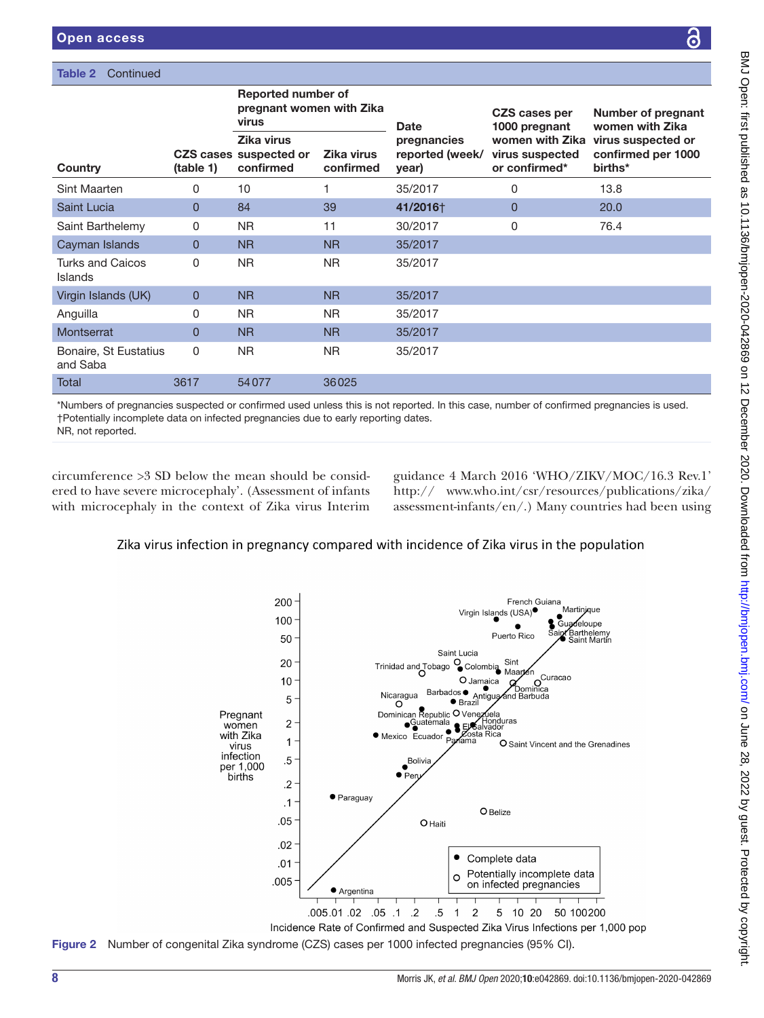| <b>Open access</b>                                                                                                                                                                                                                                                                                                                                |                |                                                                |                                |                                         |                                       | $\bullet$                                                           |  |  |  |
|---------------------------------------------------------------------------------------------------------------------------------------------------------------------------------------------------------------------------------------------------------------------------------------------------------------------------------------------------|----------------|----------------------------------------------------------------|--------------------------------|-----------------------------------------|---------------------------------------|---------------------------------------------------------------------|--|--|--|
| Continued<br>Table 2                                                                                                                                                                                                                                                                                                                              |                |                                                                |                                |                                         |                                       |                                                                     |  |  |  |
|                                                                                                                                                                                                                                                                                                                                                   |                | <b>Reported number of</b><br>pregnant women with Zika<br>virus |                                | <b>Date</b>                             | <b>CZS cases per</b><br>1000 pregnant | Number of pregnant<br>women with Zika                               |  |  |  |
| Country                                                                                                                                                                                                                                                                                                                                           | (table 1)      | Zika virus<br><b>CZS cases suspected or</b><br>confirmed       | <b>Zika virus</b><br>confirmed | pregnancies<br>reported (week/<br>year) | virus suspected<br>or confirmed*      | women with Zika virus suspected or<br>confirmed per 1000<br>births* |  |  |  |
| Sint Maarten                                                                                                                                                                                                                                                                                                                                      | 0              | 10                                                             | 1                              | 35/2017                                 | 0                                     | 13.8                                                                |  |  |  |
| Saint Lucia                                                                                                                                                                                                                                                                                                                                       | $\overline{0}$ | 84                                                             | 39                             | 41/2016+                                | 0                                     | 20.0                                                                |  |  |  |
| Saint Barthelemy                                                                                                                                                                                                                                                                                                                                  | 0              | <b>NR</b>                                                      | 11                             | 30/2017                                 | 0                                     | 76.4                                                                |  |  |  |
| Cayman Islands                                                                                                                                                                                                                                                                                                                                    | $\overline{0}$ | <b>NR</b>                                                      | <b>NR</b>                      | 35/2017                                 |                                       |                                                                     |  |  |  |
| <b>Turks and Caicos</b><br>Islands                                                                                                                                                                                                                                                                                                                | 0              | <b>NR</b>                                                      | <b>NR</b>                      | 35/2017                                 |                                       |                                                                     |  |  |  |
| Virgin Islands (UK)                                                                                                                                                                                                                                                                                                                               | $\overline{0}$ | <b>NR</b>                                                      | <b>NR</b>                      | 35/2017                                 |                                       |                                                                     |  |  |  |
| Anguilla                                                                                                                                                                                                                                                                                                                                          | 0              | <b>NR</b>                                                      | <b>NR</b>                      | 35/2017                                 |                                       |                                                                     |  |  |  |
| Montserrat                                                                                                                                                                                                                                                                                                                                        | $\overline{0}$ | <b>NR</b>                                                      | <b>NR</b>                      | 35/2017                                 |                                       |                                                                     |  |  |  |
| Bonaire, St Eustatius<br>and Saba                                                                                                                                                                                                                                                                                                                 | 0              | <b>NR</b>                                                      | <b>NR</b>                      | 35/2017                                 |                                       |                                                                     |  |  |  |
| Total                                                                                                                                                                                                                                                                                                                                             | 3617           | 54077                                                          | 36025                          |                                         |                                       |                                                                     |  |  |  |
| *Numbers of pregnancies suspected or confirmed used unless this is not reported. In this case, number of confirmed pregnancies is used.<br>†Potentially incomplete data on infected pregnancies due to early reporting dates.<br>NR, not reported.                                                                                                |                |                                                                |                                |                                         |                                       |                                                                     |  |  |  |
| circumference > 3 SD below the mean should be consid-<br>guidance 4 March 2016 'WHO/ZIKV/MOC/16.3 Rev.1'<br>http:// www.who.int/csr/resources/publications/zika/<br>ered to have severe microcephaly'. (Assessment of infants<br>with microcephaly in the context of Zika virus Interim<br>assessment-infants/en/.) Many countries had been using |                |                                                                |                                |                                         |                                       |                                                                     |  |  |  |
| Zika virus infection in pregnancy compared with incidence of Zika virus in the population                                                                                                                                                                                                                                                         |                |                                                                |                                |                                         |                                       |                                                                     |  |  |  |

### 200 French Guiana Martinjque Virgin Islands (USA) 100 Guadeloupe ,<br>Barthelemy<br>Saint Martin Puerto Rico 50 Saint Lucia 20 Trinidad and Tobago Colombia Sint Curacao 10 O Jamaica C  $\Omega$ Barbados  $\bullet$  Antigua າາ໌ca Nicaragua ind Barbuda 5  $\bullet$  Brazil Dominican Republic O Venez<br>
Cuatemala<br>
Movie Courdor Costa  $\Omega$ Pregnant Dominican Republic O Venezuela<br>■ Cuatemala<br>■ Mexico Ecuador Paylama<br>■ Mexico Ecuador Paylama<br>■ O Sa ⊿∩์ela  $\overline{2}$ women with Zika  $\overline{1}$ O Saint Vincent and the Grenadines virus infection  $.5\,$ Boliv per 1,000  $\overline{\bullet}$  Pe births  $\cdot$ .2 · Paraguay  $\cdot$ 1 O Belize  $.05$ **O** Haiti  $.02$  $\bullet$ Complete data  $.01$ Potentially incomplete data  $\circ$ .005 on infected pregnancies ● Argentina .05 1. 05 02 05 005.0  $.5\,$ 2 5 10 20 50 100200  $\overline{1}$

<span id="page-7-0"></span>Incidence Rate of Confirmed and Suspected Zika Virus Infections per 1,000 pop Figure 2 Number of congenital Zika syndrome (CZS) cases per 1000 infected pregnancies (95% CI).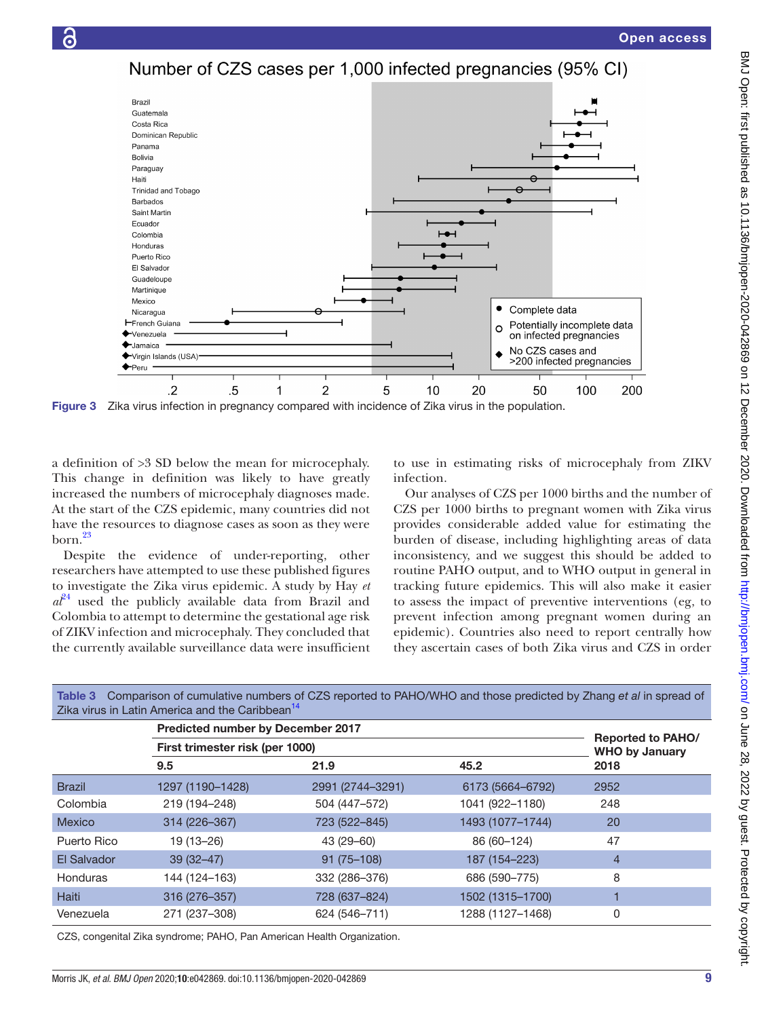Number of CZS cases per 1,000 infected pregnancies (95% CI)



<span id="page-8-0"></span>Figure 3 Zika virus infection in pregnancy compared with incidence of Zika virus in the population.

a definition of >3 SD below the mean for microcephaly. This change in definition was likely to have greatly increased the numbers of microcephaly diagnoses made. At the start of the CZS epidemic, many countries did not have the resources to diagnose cases as soon as they were  $born.<sup>23</sup>$ 

 $\overline{G}$ 

Despite the evidence of under-reporting, other researchers have attempted to use these published figures to investigate the Zika virus epidemic. A study by Hay *et*   $a<sup>{p4}</sup>$  used the publicly available data from Brazil and Colombia to attempt to determine the gestational age risk of ZIKV infection and microcephaly. They concluded that the currently available surveillance data were insufficient

to use in estimating risks of microcephaly from ZIKV infection.

Our analyses of CZS per 1000 births and the number of CZS per 1000 births to pregnant women with Zika virus provides considerable added value for estimating the burden of disease, including highlighting areas of data inconsistency, and we suggest this should be added to routine PAHO output, and to WHO output in general in tracking future epidemics. This will also make it easier to assess the impact of preventive interventions (eg, to prevent infection among pregnant women during an epidemic). Countries also need to report centrally how they ascertain cases of both Zika virus and CZS in order

| Zika virus in Latin America and the Caribbean <sup>14</sup> |                                                   |                                 |                |  |  |  |  |  |
|-------------------------------------------------------------|---------------------------------------------------|---------------------------------|----------------|--|--|--|--|--|
| <b>Predicted number by December 2017</b>                    |                                                   |                                 |                |  |  |  |  |  |
|                                                             | <b>Reported to PAHO/</b><br><b>WHO by January</b> |                                 |                |  |  |  |  |  |
| 9.5                                                         | 21.9                                              | 45.2                            | 2018           |  |  |  |  |  |
| 1297 (1190-1428)                                            | 2991 (2744-3291)                                  | 6173 (5664-6792)                | 2952           |  |  |  |  |  |
| 219 (194-248)                                               | 504 (447-572)                                     | 1041 (922-1180)                 | 248            |  |  |  |  |  |
| 314 (226-367)                                               | 723 (522-845)                                     | 1493 (1077-1744)                | 20             |  |  |  |  |  |
| 19 (13-26)                                                  | 43 (29 - 60)                                      | 86 (60-124)                     | 47             |  |  |  |  |  |
| $39(32 - 47)$                                               | $91(75 - 108)$                                    | 187 (154-223)                   | $\overline{4}$ |  |  |  |  |  |
| 144 (124-163)                                               | 332 (286-376)                                     | 686 (590-775)                   | 8              |  |  |  |  |  |
| 316 (276-357)                                               | 728 (637-824)                                     | 1502 (1315-1700)                |                |  |  |  |  |  |
| 271 (237-308)                                               | 624 (546-711)                                     | 1288 (1127-1468)                | 0              |  |  |  |  |  |
|                                                             |                                                   | First trimester risk (per 1000) |                |  |  |  |  |  |

<span id="page-8-1"></span>Table 3 Comparison of cumulative numbers of CZS reported to PAHO/WHO and those predicted by Zhang *et al* in spread of

CZS, congenital Zika syndrome; PAHO, Pan American Health Organization.